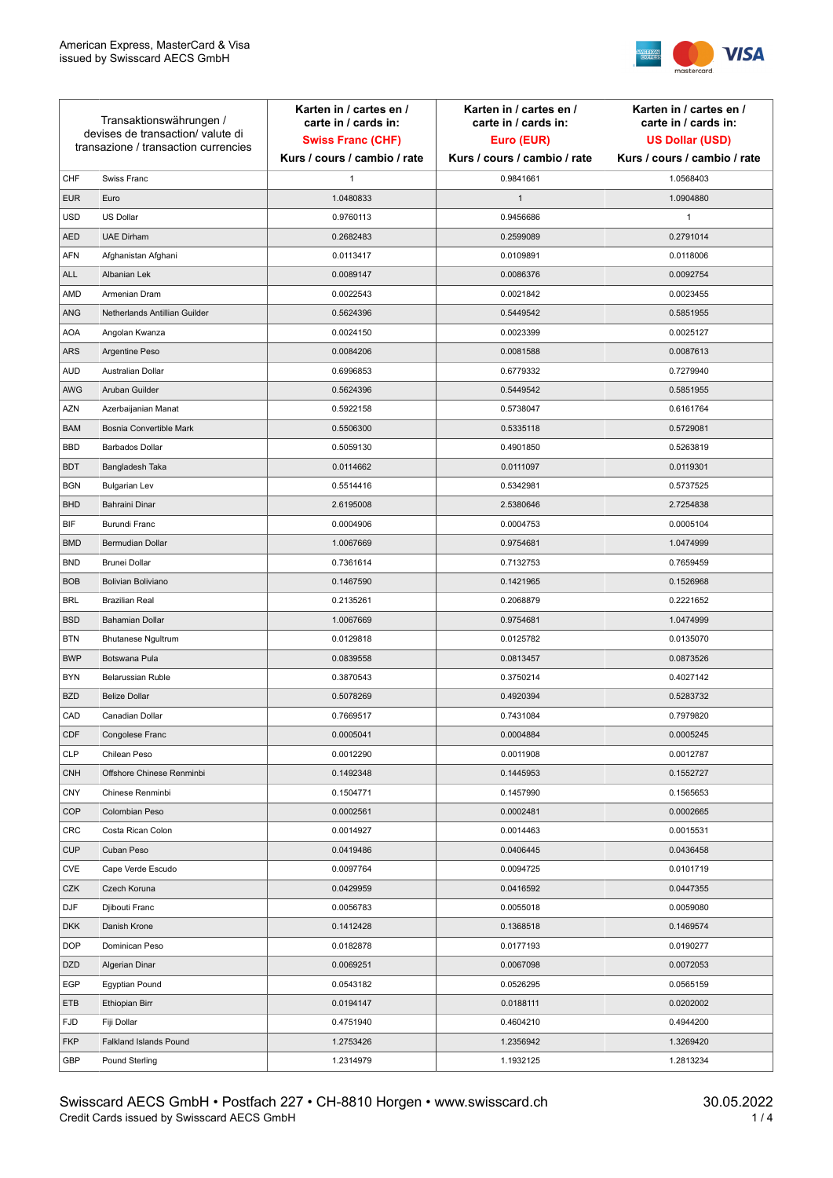

| Transaktionswährungen /<br>devises de transaction/valute di<br>transazione / transaction currencies |                               | Karten in / cartes en /<br>carte in / cards in:<br><b>Swiss Franc (CHF)</b> | Karten in / cartes en /<br>carte in / cards in:<br>Euro (EUR) | Karten in / cartes en /<br>carte in / cards in:<br><b>US Dollar (USD)</b> |
|-----------------------------------------------------------------------------------------------------|-------------------------------|-----------------------------------------------------------------------------|---------------------------------------------------------------|---------------------------------------------------------------------------|
|                                                                                                     |                               | Kurs / cours / cambio / rate                                                | Kurs / cours / cambio / rate                                  | Kurs / cours / cambio / rate                                              |
| CHF                                                                                                 | Swiss Franc                   | 1                                                                           | 0.9841661                                                     | 1.0568403                                                                 |
| <b>EUR</b>                                                                                          | Euro                          | 1.0480833                                                                   | $\mathbf{1}$                                                  | 1.0904880                                                                 |
| <b>USD</b>                                                                                          | <b>US Dollar</b>              | 0.9760113                                                                   | 0.9456686                                                     | $\mathbf{1}$                                                              |
| <b>AED</b>                                                                                          | <b>UAE Dirham</b>             | 0.2682483                                                                   | 0.2599089                                                     | 0.2791014                                                                 |
| <b>AFN</b>                                                                                          | Afghanistan Afghani           | 0.0113417                                                                   | 0.0109891                                                     | 0.0118006                                                                 |
| ALL                                                                                                 | Albanian Lek                  | 0.0089147                                                                   | 0.0086376                                                     | 0.0092754                                                                 |
| AMD                                                                                                 | Armenian Dram                 | 0.0022543                                                                   | 0.0021842                                                     | 0.0023455                                                                 |
| ANG                                                                                                 | Netherlands Antillian Guilder | 0.5624396                                                                   | 0.5449542                                                     | 0.5851955                                                                 |
| <b>AOA</b>                                                                                          | Angolan Kwanza                | 0.0024150                                                                   | 0.0023399                                                     | 0.0025127                                                                 |
| ARS                                                                                                 | Argentine Peso                | 0.0084206                                                                   | 0.0081588                                                     | 0.0087613                                                                 |
| <b>AUD</b>                                                                                          | Australian Dollar             | 0.6996853                                                                   | 0.6779332                                                     | 0.7279940                                                                 |
| AWG                                                                                                 | Aruban Guilder                | 0.5624396                                                                   | 0.5449542                                                     | 0.5851955                                                                 |
| AZN                                                                                                 | Azerbaijanian Manat           | 0.5922158                                                                   | 0.5738047                                                     | 0.6161764                                                                 |
| <b>BAM</b>                                                                                          | Bosnia Convertible Mark       | 0.5506300                                                                   | 0.5335118                                                     | 0.5729081                                                                 |
| <b>BBD</b>                                                                                          | <b>Barbados Dollar</b>        | 0.5059130                                                                   | 0.4901850                                                     | 0.5263819                                                                 |
| <b>BDT</b>                                                                                          | Bangladesh Taka               | 0.0114662                                                                   | 0.0111097                                                     | 0.0119301                                                                 |
| <b>BGN</b>                                                                                          | <b>Bulgarian Lev</b>          | 0.5514416                                                                   | 0.5342981                                                     | 0.5737525                                                                 |
| <b>BHD</b>                                                                                          | Bahraini Dinar                | 2.6195008                                                                   | 2.5380646                                                     | 2.7254838                                                                 |
| BIF                                                                                                 | Burundi Franc                 | 0.0004906                                                                   | 0.0004753                                                     | 0.0005104                                                                 |
| <b>BMD</b>                                                                                          | Bermudian Dollar              | 1.0067669                                                                   | 0.9754681                                                     | 1.0474999                                                                 |
| <b>BND</b>                                                                                          | <b>Brunei Dollar</b>          | 0.7361614                                                                   | 0.7132753                                                     | 0.7659459                                                                 |
| <b>BOB</b>                                                                                          | Bolivian Boliviano            | 0.1467590                                                                   | 0.1421965                                                     | 0.1526968                                                                 |
| <b>BRL</b>                                                                                          | <b>Brazilian Real</b>         | 0.2135261                                                                   | 0.2068879                                                     | 0.2221652                                                                 |
| <b>BSD</b>                                                                                          | <b>Bahamian Dollar</b>        | 1.0067669                                                                   | 0.9754681                                                     | 1.0474999                                                                 |
| <b>BTN</b>                                                                                          | <b>Bhutanese Ngultrum</b>     | 0.0129818                                                                   | 0.0125782                                                     | 0.0135070                                                                 |
| <b>BWP</b>                                                                                          | Botswana Pula                 | 0.0839558                                                                   | 0.0813457                                                     | 0.0873526                                                                 |
| <b>BYN</b>                                                                                          | Belarussian Ruble             | 0.3870543                                                                   | 0.3750214                                                     | 0.4027142                                                                 |
| <b>BZD</b>                                                                                          | <b>Belize Dollar</b>          | 0.5078269                                                                   | 0.4920394                                                     | 0.5283732                                                                 |
| CAD                                                                                                 | Canadian Dollar               | 0.7669517                                                                   | 0.7431084                                                     | 0.7979820                                                                 |
| CDF                                                                                                 | Congolese Franc               | 0.0005041                                                                   | 0.0004884                                                     | 0.0005245                                                                 |
| <b>CLP</b>                                                                                          | Chilean Peso                  | 0.0012290                                                                   | 0.0011908                                                     | 0.0012787                                                                 |
| <b>CNH</b>                                                                                          | Offshore Chinese Renminbi     | 0.1492348                                                                   | 0.1445953                                                     | 0.1552727                                                                 |
| <b>CNY</b>                                                                                          | Chinese Renminbi              | 0.1504771                                                                   | 0.1457990                                                     | 0.1565653                                                                 |
| <b>COP</b>                                                                                          | Colombian Peso                | 0.0002561                                                                   | 0.0002481                                                     | 0.0002665                                                                 |
| CRC                                                                                                 | Costa Rican Colon             | 0.0014927                                                                   | 0.0014463                                                     | 0.0015531                                                                 |
| <b>CUP</b>                                                                                          | Cuban Peso                    | 0.0419486                                                                   | 0.0406445                                                     | 0.0436458                                                                 |
| CVE                                                                                                 | Cape Verde Escudo             | 0.0097764                                                                   | 0.0094725                                                     | 0.0101719                                                                 |
| CZK                                                                                                 | Czech Koruna                  | 0.0429959                                                                   | 0.0416592                                                     | 0.0447355                                                                 |
| DJF                                                                                                 | Djibouti Franc                | 0.0056783                                                                   | 0.0055018                                                     | 0.0059080                                                                 |
| <b>DKK</b>                                                                                          | Danish Krone                  | 0.1412428                                                                   | 0.1368518                                                     | 0.1469574                                                                 |
| <b>DOP</b>                                                                                          | Dominican Peso                | 0.0182878                                                                   | 0.0177193                                                     | 0.0190277                                                                 |
| <b>DZD</b>                                                                                          | Algerian Dinar                | 0.0069251                                                                   | 0.0067098                                                     | 0.0072053                                                                 |
| EGP                                                                                                 | Egyptian Pound                | 0.0543182                                                                   | 0.0526295                                                     | 0.0565159                                                                 |
| ETB                                                                                                 | Ethiopian Birr                | 0.0194147                                                                   | 0.0188111                                                     | 0.0202002                                                                 |
| <b>FJD</b>                                                                                          | Fiji Dollar                   | 0.4751940                                                                   | 0.4604210                                                     | 0.4944200                                                                 |
| <b>FKP</b>                                                                                          | Falkland Islands Pound        | 1.2753426                                                                   | 1.2356942                                                     | 1.3269420                                                                 |
| GBP                                                                                                 | Pound Sterling                | 1.2314979                                                                   | 1.1932125                                                     | 1.2813234                                                                 |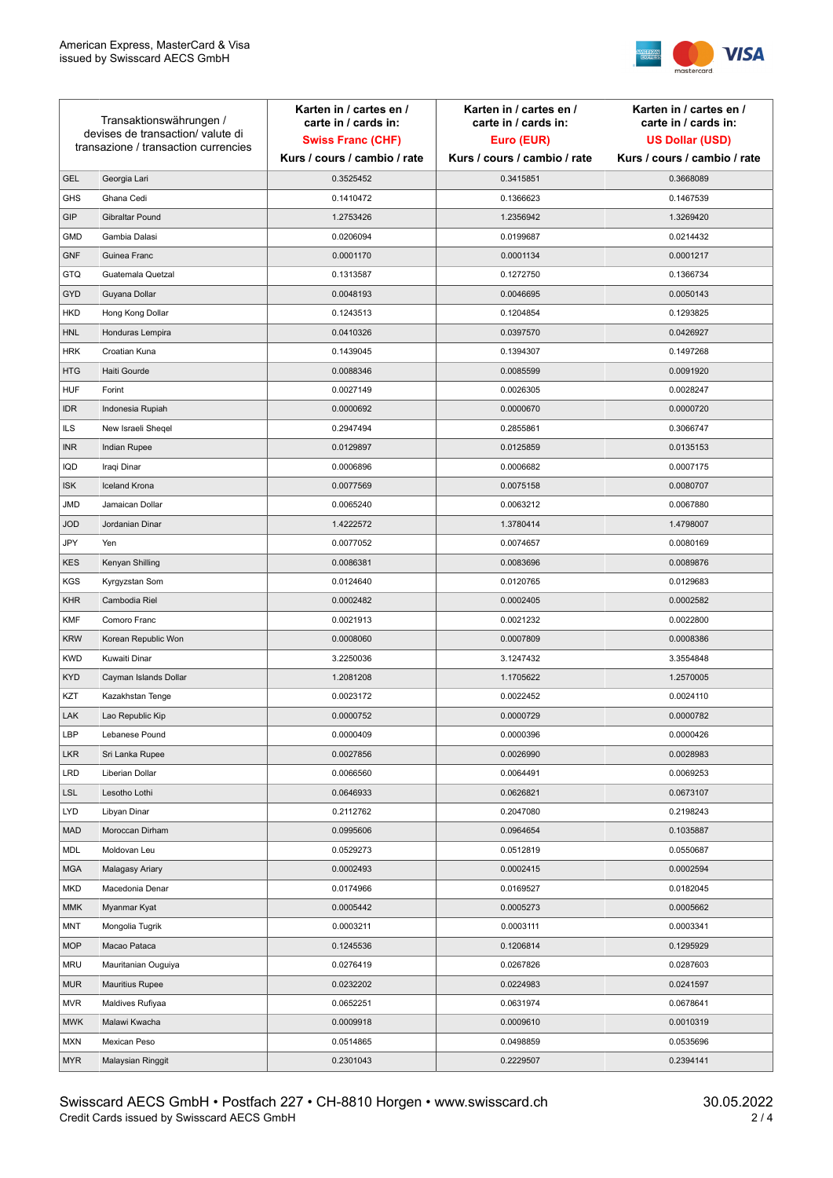

| Transaktionswährungen /<br>devises de transaction/valute di<br>transazione / transaction currencies |                        | Karten in / cartes en /<br>carte in / cards in: | Karten in / cartes en /<br>carte in / cards in: | Karten in / cartes en /<br>carte in / cards in: |
|-----------------------------------------------------------------------------------------------------|------------------------|-------------------------------------------------|-------------------------------------------------|-------------------------------------------------|
|                                                                                                     |                        | <b>Swiss Franc (CHF)</b>                        | Euro (EUR)                                      | <b>US Dollar (USD)</b>                          |
|                                                                                                     |                        | Kurs / cours / cambio / rate                    | Kurs / cours / cambio / rate                    | Kurs / cours / cambio / rate                    |
| <b>GEL</b>                                                                                          | Georgia Lari           | 0.3525452                                       | 0.3415851                                       | 0.3668089                                       |
| <b>GHS</b>                                                                                          | Ghana Cedi             | 0.1410472                                       | 0.1366623                                       | 0.1467539                                       |
| GIP                                                                                                 | Gibraltar Pound        | 1.2753426                                       | 1.2356942                                       | 1.3269420                                       |
| <b>GMD</b>                                                                                          | Gambia Dalasi          | 0.0206094                                       | 0.0199687                                       | 0.0214432                                       |
| <b>GNF</b>                                                                                          | Guinea Franc           | 0.0001170                                       | 0.0001134                                       | 0.0001217                                       |
| <b>GTQ</b>                                                                                          | Guatemala Quetzal      | 0.1313587                                       | 0.1272750                                       | 0.1366734                                       |
| GYD                                                                                                 | Guyana Dollar          | 0.0048193                                       | 0.0046695                                       | 0.0050143                                       |
| HKD                                                                                                 | Hong Kong Dollar       | 0.1243513                                       | 0.1204854                                       | 0.1293825                                       |
| <b>HNL</b>                                                                                          | Honduras Lempira       | 0.0410326                                       | 0.0397570                                       | 0.0426927                                       |
| <b>HRK</b>                                                                                          | Croatian Kuna          | 0.1439045                                       | 0.1394307                                       | 0.1497268                                       |
| <b>HTG</b>                                                                                          | Haiti Gourde           | 0.0088346                                       | 0.0085599                                       | 0.0091920                                       |
| <b>HUF</b>                                                                                          | Forint                 | 0.0027149                                       | 0.0026305                                       | 0.0028247                                       |
| <b>IDR</b>                                                                                          | Indonesia Rupiah       | 0.0000692                                       | 0.0000670                                       | 0.0000720                                       |
| <b>ILS</b>                                                                                          | New Israeli Sheqel     | 0.2947494                                       | 0.2855861                                       | 0.3066747                                       |
| <b>INR</b>                                                                                          | Indian Rupee           | 0.0129897                                       | 0.0125859                                       | 0.0135153                                       |
| IQD                                                                                                 | Iraqi Dinar            | 0.0006896                                       | 0.0006682                                       | 0.0007175                                       |
| <b>ISK</b>                                                                                          | <b>Iceland Krona</b>   | 0.0077569                                       | 0.0075158                                       | 0.0080707                                       |
| <b>JMD</b>                                                                                          | Jamaican Dollar        | 0.0065240                                       | 0.0063212                                       | 0.0067880                                       |
| <b>JOD</b>                                                                                          | Jordanian Dinar        | 1.4222572                                       | 1.3780414                                       | 1.4798007                                       |
| JPY                                                                                                 | Yen                    | 0.0077052                                       | 0.0074657                                       | 0.0080169                                       |
| <b>KES</b>                                                                                          | Kenyan Shilling        | 0.0086381                                       | 0.0083696                                       | 0.0089876                                       |
| <b>KGS</b>                                                                                          | Kyrgyzstan Som         | 0.0124640                                       | 0.0120765                                       | 0.0129683                                       |
| <b>KHR</b>                                                                                          | Cambodia Riel          | 0.0002482                                       | 0.0002405                                       | 0.0002582                                       |
| <b>KMF</b>                                                                                          | Comoro Franc           | 0.0021913                                       | 0.0021232                                       | 0.0022800                                       |
| <b>KRW</b>                                                                                          | Korean Republic Won    | 0.0008060                                       | 0.0007809                                       | 0.0008386                                       |
| <b>KWD</b>                                                                                          | Kuwaiti Dinar          | 3.2250036                                       | 3.1247432                                       | 3.3554848                                       |
| <b>KYD</b>                                                                                          | Cayman Islands Dollar  | 1.2081208                                       | 1.1705622                                       | 1.2570005                                       |
| KZT                                                                                                 | Kazakhstan Tenge       | 0.0023172                                       | 0.0022452                                       | 0.0024110                                       |
| LAK                                                                                                 | Lao Republic Kip       | 0.0000752                                       | 0.0000729                                       | 0.0000782                                       |
| LBP                                                                                                 | Lebanese Pound         | 0.0000409                                       | 0.0000396                                       | 0.0000426                                       |
| <b>LKR</b>                                                                                          | Sri Lanka Rupee        | 0.0027856                                       | 0.0026990                                       | 0.0028983                                       |
| <b>LRD</b>                                                                                          | Liberian Dollar        | 0.0066560                                       | 0.0064491                                       | 0.0069253                                       |
| <b>LSL</b>                                                                                          | Lesotho Lothi          | 0.0646933                                       | 0.0626821                                       | 0.0673107                                       |
| LYD                                                                                                 | Libyan Dinar           | 0.2112762                                       | 0.2047080                                       | 0.2198243                                       |
| <b>MAD</b>                                                                                          | Moroccan Dirham        | 0.0995606                                       | 0.0964654                                       | 0.1035887                                       |
| MDL                                                                                                 | Moldovan Leu           | 0.0529273                                       | 0.0512819                                       | 0.0550687                                       |
| <b>MGA</b>                                                                                          | Malagasy Ariary        | 0.0002493                                       | 0.0002415                                       | 0.0002594                                       |
| MKD                                                                                                 | Macedonia Denar        | 0.0174966                                       | 0.0169527                                       | 0.0182045                                       |
| <b>MMK</b>                                                                                          | Myanmar Kyat           | 0.0005442                                       | 0.0005273                                       | 0.0005662                                       |
| <b>MNT</b>                                                                                          | Mongolia Tugrik        | 0.0003211                                       | 0.0003111                                       | 0.0003341                                       |
| <b>MOP</b>                                                                                          | Macao Pataca           | 0.1245536                                       | 0.1206814                                       | 0.1295929                                       |
| <b>MRU</b>                                                                                          | Mauritanian Ouguiya    | 0.0276419                                       | 0.0267826                                       | 0.0287603                                       |
| <b>MUR</b>                                                                                          | <b>Mauritius Rupee</b> | 0.0232202                                       | 0.0224983                                       | 0.0241597                                       |
| <b>MVR</b>                                                                                          | Maldives Rufiyaa       | 0.0652251                                       | 0.0631974                                       | 0.0678641                                       |
| <b>MWK</b>                                                                                          | Malawi Kwacha          | 0.0009918                                       | 0.0009610                                       | 0.0010319                                       |
| <b>MXN</b>                                                                                          | Mexican Peso           | 0.0514865                                       | 0.0498859                                       | 0.0535696                                       |
| <b>MYR</b>                                                                                          | Malaysian Ringgit      | 0.2301043                                       | 0.2229507                                       | 0.2394141                                       |
|                                                                                                     |                        |                                                 |                                                 |                                                 |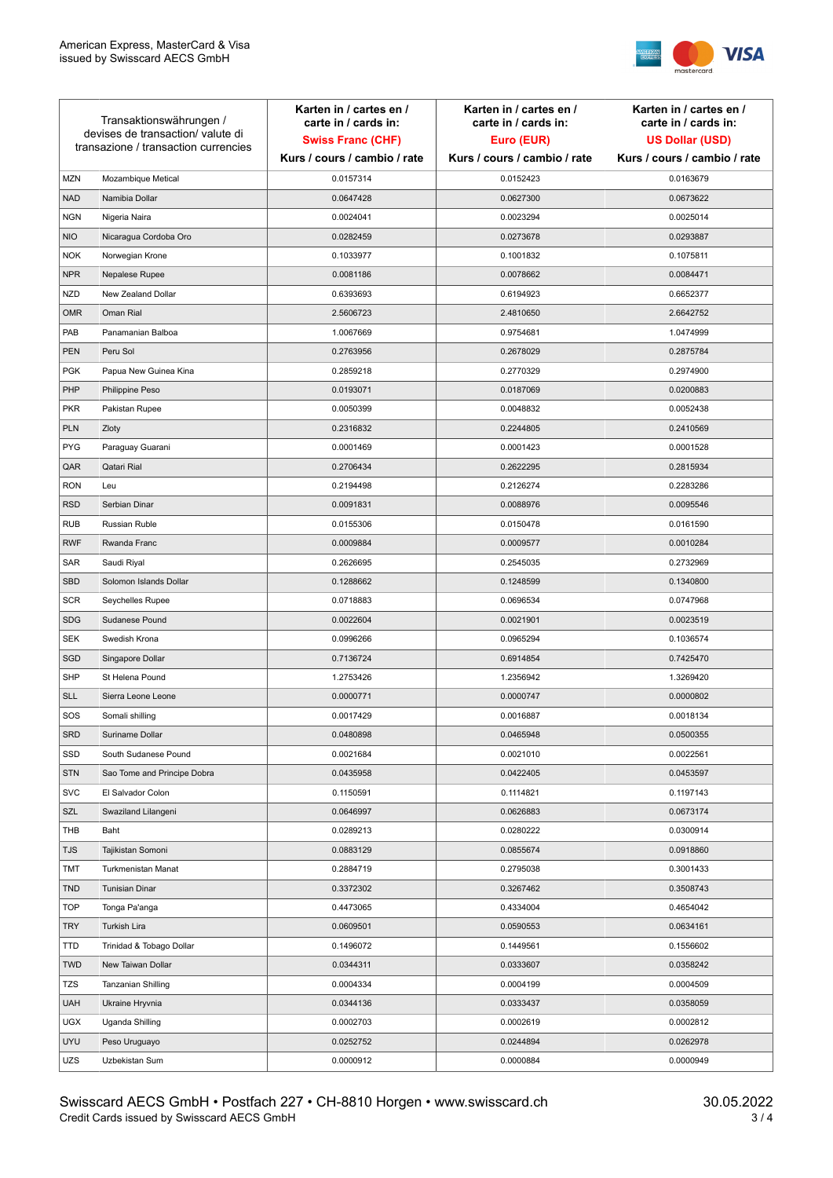

| Transaktionswährungen /<br>devises de transaction/valute di<br>transazione / transaction currencies |                             | Karten in / cartes en /<br>carte in / cards in:<br><b>Swiss Franc (CHF)</b> | Karten in / cartes en /<br>carte in / cards in:<br>Euro (EUR) | Karten in / cartes en /<br>carte in / cards in:<br><b>US Dollar (USD)</b> |
|-----------------------------------------------------------------------------------------------------|-----------------------------|-----------------------------------------------------------------------------|---------------------------------------------------------------|---------------------------------------------------------------------------|
|                                                                                                     |                             | Kurs / cours / cambio / rate                                                | Kurs / cours / cambio / rate                                  | Kurs / cours / cambio / rate                                              |
| <b>MZN</b>                                                                                          | Mozambique Metical          | 0.0157314                                                                   | 0.0152423                                                     | 0.0163679                                                                 |
| <b>NAD</b>                                                                                          | Namibia Dollar              | 0.0647428                                                                   | 0.0627300                                                     | 0.0673622                                                                 |
| <b>NGN</b>                                                                                          | Nigeria Naira               | 0.0024041                                                                   | 0.0023294                                                     | 0.0025014                                                                 |
| <b>NIO</b>                                                                                          | Nicaragua Cordoba Oro       | 0.0282459                                                                   | 0.0273678                                                     | 0.0293887                                                                 |
| <b>NOK</b>                                                                                          | Norwegian Krone             | 0.1033977                                                                   | 0.1001832                                                     | 0.1075811                                                                 |
| <b>NPR</b>                                                                                          | Nepalese Rupee              | 0.0081186                                                                   | 0.0078662                                                     | 0.0084471                                                                 |
| <b>NZD</b>                                                                                          | New Zealand Dollar          | 0.6393693                                                                   | 0.6194923                                                     | 0.6652377                                                                 |
| <b>OMR</b>                                                                                          | Oman Rial                   | 2.5606723                                                                   | 2.4810650                                                     | 2.6642752                                                                 |
| PAB                                                                                                 | Panamanian Balboa           | 1.0067669                                                                   | 0.9754681                                                     | 1.0474999                                                                 |
| <b>PEN</b>                                                                                          | Peru Sol                    | 0.2763956                                                                   | 0.2678029                                                     | 0.2875784                                                                 |
| <b>PGK</b>                                                                                          | Papua New Guinea Kina       | 0.2859218                                                                   | 0.2770329                                                     | 0.2974900                                                                 |
| PHP                                                                                                 | Philippine Peso             | 0.0193071                                                                   | 0.0187069                                                     | 0.0200883                                                                 |
| <b>PKR</b>                                                                                          | Pakistan Rupee              | 0.0050399                                                                   | 0.0048832                                                     | 0.0052438                                                                 |
| <b>PLN</b>                                                                                          | Zloty                       | 0.2316832                                                                   | 0.2244805                                                     | 0.2410569                                                                 |
| <b>PYG</b>                                                                                          | Paraguay Guarani            | 0.0001469                                                                   | 0.0001423                                                     | 0.0001528                                                                 |
| QAR                                                                                                 | Qatari Rial                 | 0.2706434                                                                   | 0.2622295                                                     | 0.2815934                                                                 |
| <b>RON</b>                                                                                          | Leu                         | 0.2194498                                                                   | 0.2126274                                                     | 0.2283286                                                                 |
| <b>RSD</b>                                                                                          | Serbian Dinar               | 0.0091831                                                                   | 0.0088976                                                     | 0.0095546                                                                 |
| <b>RUB</b>                                                                                          | Russian Ruble               | 0.0155306                                                                   | 0.0150478                                                     | 0.0161590                                                                 |
| <b>RWF</b>                                                                                          | Rwanda Franc                | 0.0009884                                                                   | 0.0009577                                                     | 0.0010284                                                                 |
| SAR                                                                                                 | Saudi Riyal                 | 0.2626695                                                                   | 0.2545035                                                     | 0.2732969                                                                 |
| <b>SBD</b>                                                                                          | Solomon Islands Dollar      | 0.1288662                                                                   | 0.1248599                                                     | 0.1340800                                                                 |
| <b>SCR</b>                                                                                          | Seychelles Rupee            | 0.0718883                                                                   | 0.0696534                                                     | 0.0747968                                                                 |
| <b>SDG</b>                                                                                          | Sudanese Pound              | 0.0022604                                                                   | 0.0021901                                                     | 0.0023519                                                                 |
| SEK                                                                                                 | Swedish Krona               | 0.0996266                                                                   | 0.0965294                                                     | 0.1036574                                                                 |
| SGD                                                                                                 | Singapore Dollar            | 0.7136724                                                                   | 0.6914854                                                     | 0.7425470                                                                 |
| <b>SHP</b>                                                                                          | St Helena Pound             | 1.2753426                                                                   | 1.2356942                                                     | 1.3269420                                                                 |
| <b>SLL</b>                                                                                          | Sierra Leone Leone          | 0.0000771                                                                   | 0.0000747                                                     | 0.0000802                                                                 |
| SOS                                                                                                 | Somali shilling             | 0.0017429                                                                   | 0.0016887                                                     | 0.0018134                                                                 |
| <b>SRD</b>                                                                                          | Suriname Dollar             | 0.0480898                                                                   | 0.0465948                                                     | 0.0500355                                                                 |
| SSD                                                                                                 | South Sudanese Pound        | 0.0021684                                                                   | 0.0021010                                                     | 0.0022561                                                                 |
| <b>STN</b>                                                                                          | Sao Tome and Principe Dobra | 0.0435958                                                                   | 0.0422405                                                     | 0.0453597                                                                 |
| <b>SVC</b>                                                                                          | El Salvador Colon           | 0.1150591                                                                   | 0.1114821                                                     | 0.1197143                                                                 |
| <b>SZL</b>                                                                                          | Swaziland Lilangeni         | 0.0646997                                                                   | 0.0626883                                                     | 0.0673174                                                                 |
| THB                                                                                                 | Baht                        | 0.0289213                                                                   | 0.0280222                                                     | 0.0300914                                                                 |
| <b>TJS</b>                                                                                          | Tajikistan Somoni           | 0.0883129                                                                   | 0.0855674                                                     | 0.0918860                                                                 |
| TMT                                                                                                 | Turkmenistan Manat          | 0.2884719                                                                   | 0.2795038                                                     | 0.3001433                                                                 |
| <b>TND</b>                                                                                          | <b>Tunisian Dinar</b>       | 0.3372302                                                                   | 0.3267462                                                     | 0.3508743                                                                 |
| <b>TOP</b>                                                                                          | Tonga Pa'anga               | 0.4473065                                                                   | 0.4334004                                                     | 0.4654042                                                                 |
| <b>TRY</b>                                                                                          | Turkish Lira                | 0.0609501                                                                   | 0.0590553                                                     | 0.0634161                                                                 |
| <b>TTD</b>                                                                                          | Trinidad & Tobago Dollar    | 0.1496072                                                                   | 0.1449561                                                     | 0.1556602                                                                 |
| <b>TWD</b>                                                                                          | New Taiwan Dollar           | 0.0344311                                                                   | 0.0333607                                                     | 0.0358242                                                                 |
| TZS                                                                                                 | Tanzanian Shilling          | 0.0004334                                                                   | 0.0004199                                                     | 0.0004509                                                                 |
| <b>UAH</b>                                                                                          | Ukraine Hryvnia             | 0.0344136                                                                   | 0.0333437                                                     | 0.0358059                                                                 |
| <b>UGX</b>                                                                                          | Uganda Shilling             | 0.0002703                                                                   | 0.0002619                                                     | 0.0002812                                                                 |
| <b>UYU</b>                                                                                          | Peso Uruguayo               | 0.0252752                                                                   | 0.0244894                                                     | 0.0262978                                                                 |
| UZS                                                                                                 | Uzbekistan Sum              | 0.0000912                                                                   | 0.0000884                                                     | 0.0000949                                                                 |